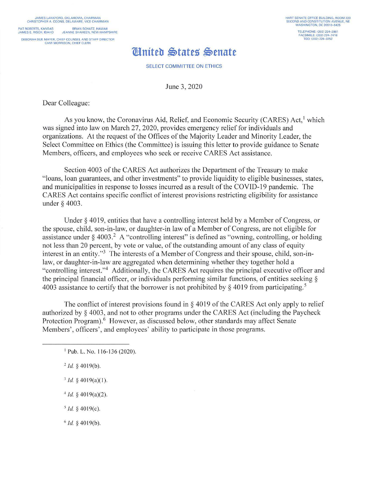JAMES LANKFORD. OKLAHOMA. CHAIRMAN CHRISTOPHER A COONS. DELAWARE. VICE CHAIRMAN

PAT ROBERTS. KANSAS BRIAN SCHAT2, HAWAII JAMES E. RISCH. IDAHO JEANNE SHAHEEN. NEW HAMPSHIRE

DEBORAH SUE MAYER, CHIEF COUNSEL AND STAFF DIRECTOR **CAMI MORRISON, CHIEF CLERK** 

## ~niteb **\$tate5' \$enate**

SELECT COMMITTEE ON ETHICS

June 3, 2020

Dear Colleague:

As you know, the Coronavirus Aid, Relief, and Economic Security (CARES) Act,<sup>1</sup> which was signed into law on March 27, 2020, provides emergency relief for individuals and organizations. At the request of the Offices of the Majority Leader and Minority Leader, the Select Committee on Ethics (the Committee) is issuing this letter to provide guidance to Senate Members, officers, and employees who seek or receive CARES Act assistance.

Section 4003 of the CARES Act authorizes the Department of the Treasury to make " loans, loan guarantees, and other investments" to provide liquidity to eligible businesses, states, and municipalities in response to losses incurred as a result of the COVID-19 pandemic. The CARES Act contains specific conflict of interest provisions restricting eligibility for assistance under § 4003.

Under § 4019, entities that have a controlling interest held by a Member of Congress, or the spouse, child, son-in-law, or daughter-in law of a Member of Congress, are not eligible for assistance under § 4003.<sup>2</sup> A "controlling interest" is defined as "owning, controlling, or holding not less than 20 percent, by vote or value, of the outstanding amount of any class of equity interest in an entity."3 The interests of a Member of Congress and their spouse, child, son-inlaw, or daughter-in-law are aggregated when determining whether they together hold a " controlling interest."<sup>4</sup> Additionally, the CARES Act requires the principal executive officer and the principal financial officer, or individuals performing similar functions, of entities seeking§ 4003 assistance to certify that the borrower is not prohibited by  $\frac{1}{2}$  4019 from participating.<sup>5</sup>

The conflict of interest provisions found in  $\S$  4019 of the CARES Act only apply to relief authorized by  $\S$  4003, and not to other programs under the CARES Act (including the Paycheck Protection Program).<sup>6</sup> However, as discussed below, other standards may affect Senate Members', officers', and employees' ability to participate in those programs.

 $^{2}$  *Id.* § 4019(b).

 $3$  *Id.*  $\frac{2}{3}$  4019(a)(1).

 $4$ *Id.*  $\frac{6}{3}$  4019(a)(2).

 $5$  *Id.*  $\frac{6}{3}$  4019(c).

 $6$  *Id.* § 4019(b).

<sup>&</sup>lt;sup>1</sup> Pub. L. No. 116-136 (2020).